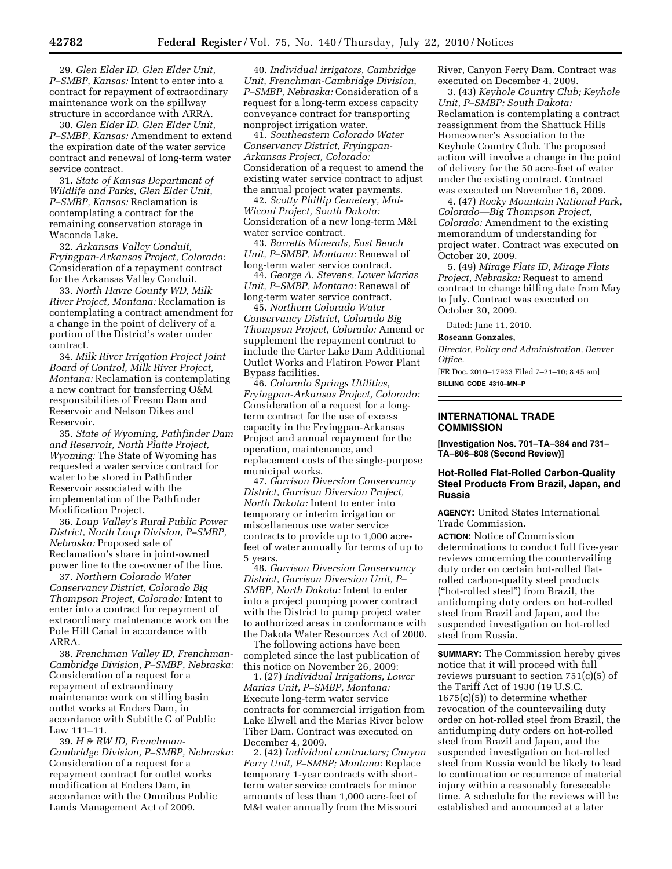29. *Glen Elder ID, Glen Elder Unit, P–SMBP, Kansas:* Intent to enter into a contract for repayment of extraordinary maintenance work on the spillway structure in accordance with ARRA.

30. *Glen Elder ID, Glen Elder Unit, P–SMBP, Kansas:* Amendment to extend the expiration date of the water service contract and renewal of long-term water service contract.

31. *State of Kansas Department of Wildlife and Parks, Glen Elder Unit, P–SMBP, Kansas:* Reclamation is contemplating a contract for the remaining conservation storage in Waconda Lake.

32. *Arkansas Valley Conduit, Fryingpan-Arkansas Project, Colorado:*  Consideration of a repayment contract for the Arkansas Valley Conduit.

33. *North Havre County WD, Milk River Project, Montana:* Reclamation is contemplating a contract amendment for a change in the point of delivery of a portion of the District's water under contract.

34. *Milk River Irrigation Project Joint Board of Control, Milk River Project, Montana:* Reclamation is contemplating a new contract for transferring O&M responsibilities of Fresno Dam and Reservoir and Nelson Dikes and Reservoir.

35. *State of Wyoming, Pathfinder Dam and Reservoir, North Platte Project, Wyoming:* The State of Wyoming has requested a water service contract for water to be stored in Pathfinder Reservoir associated with the implementation of the Pathfinder Modification Project.

36. *Loup Valley's Rural Public Power District, North Loup Division, P–SMBP, Nebraska:* Proposed sale of Reclamation's share in joint-owned power line to the co-owner of the line.

37. *Northern Colorado Water Conservancy District, Colorado Big Thompson Project, Colorado:* Intent to enter into a contract for repayment of extraordinary maintenance work on the Pole Hill Canal in accordance with ARRA.

38. *Frenchman Valley ID, Frenchman-Cambridge Division, P–SMBP, Nebraska:*  Consideration of a request for a repayment of extraordinary maintenance work on stilling basin outlet works at Enders Dam, in accordance with Subtitle G of Public Law 111–11.

39. *H & RW ID, Frenchman-Cambridge Division, P–SMBP, Nebraska:*  Consideration of a request for a repayment contract for outlet works modification at Enders Dam, in accordance with the Omnibus Public Lands Management Act of 2009.

40. *Individual irrigators, Cambridge Unit, Frenchman-Cambridge Division, P–SMBP, Nebraska:* Consideration of a request for a long-term excess capacity conveyance contract for transporting nonproject irrigation water.

41. *Southeastern Colorado Water Conservancy District, Fryingpan-Arkansas Project, Colorado:*  Consideration of a request to amend the existing water service contract to adjust the annual project water payments.

42. *Scotty Phillip Cemetery, Mni-Wiconi Project, South Dakota:*  Consideration of a new long-term M&I water service contract.

43. *Barretts Minerals, East Bench Unit, P–SMBP, Montana:* Renewal of long-term water service contract.

44. *George A. Stevens, Lower Marias Unit, P–SMBP, Montana:* Renewal of long-term water service contract.

45. *Northern Colorado Water Conservancy District, Colorado Big Thompson Project, Colorado:* Amend or supplement the repayment contract to include the Carter Lake Dam Additional Outlet Works and Flatiron Power Plant Bypass facilities.

46. *Colorado Springs Utilities, Fryingpan-Arkansas Project, Colorado:*  Consideration of a request for a longterm contract for the use of excess capacity in the Fryingpan-Arkansas Project and annual repayment for the operation, maintenance, and replacement costs of the single-purpose municipal works.

47. *Garrison Diversion Conservancy District, Garrison Diversion Project, North Dakota:* Intent to enter into temporary or interim irrigation or miscellaneous use water service contracts to provide up to 1,000 acrefeet of water annually for terms of up to 5 years.

48. *Garrison Diversion Conservancy District, Garrison Diversion Unit, P– SMBP, North Dakota:* Intent to enter into a project pumping power contract with the District to pump project water to authorized areas in conformance with the Dakota Water Resources Act of 2000.

The following actions have been completed since the last publication of this notice on November 26, 2009:

1. (27) *Individual Irrigations, Lower Marias Unit, P–SMBP, Montana:*  Execute long-term water service contracts for commercial irrigation from Lake Elwell and the Marias River below Tiber Dam. Contract was executed on December 4, 2009.

2. (42) *Individual contractors; Canyon Ferry Unit, P–SMBP; Montana:* Replace temporary 1-year contracts with shortterm water service contracts for minor amounts of less than 1,000 acre-feet of M&I water annually from the Missouri

River, Canyon Ferry Dam. Contract was executed on December 4, 2009.

3. (43) *Keyhole Country Club; Keyhole Unit, P–SMBP; South Dakota:*  Reclamation is contemplating a contract reassignment from the Shattuck Hills Homeowner's Association to the Keyhole Country Club. The proposed action will involve a change in the point of delivery for the 50 acre-feet of water under the existing contract. Contract was executed on November 16, 2009.

4. (47) *Rocky Mountain National Park, Colorado—Big Thompson Project, Colorado:* Amendment to the existing memorandum of understanding for project water. Contract was executed on October 20, 2009.

5. (49) *Mirage Flats ID, Mirage Flats Project, Nebraska:* Request to amend contract to change billing date from May to July. Contract was executed on October 30, 2009.

Dated: June 11, 2010.

#### **Roseann Gonzales,**

*Director, Policy and Administration, Denver Office.* 

[FR Doc. 2010–17933 Filed 7–21–10; 8:45 am] **BILLING CODE 4310–MN–P** 

### **INTERNATIONAL TRADE COMMISSION**

**[Investigation Nos. 701–TA–384 and 731– TA–806–808 (Second Review)]** 

# **Hot-Rolled Flat-Rolled Carbon-Quality Steel Products From Brazil, Japan, and Russia**

**AGENCY:** United States International Trade Commission.

**ACTION:** Notice of Commission determinations to conduct full five-year reviews concerning the countervailing duty order on certain hot-rolled flatrolled carbon-quality steel products (''hot-rolled steel'') from Brazil, the antidumping duty orders on hot-rolled steel from Brazil and Japan, and the suspended investigation on hot-rolled steel from Russia.

**SUMMARY:** The Commission hereby gives notice that it will proceed with full reviews pursuant to section 751(c)(5) of the Tariff Act of 1930 (19 U.S.C. 1675(c)(5)) to determine whether revocation of the countervailing duty order on hot-rolled steel from Brazil, the antidumping duty orders on hot-rolled steel from Brazil and Japan, and the suspended investigation on hot-rolled steel from Russia would be likely to lead to continuation or recurrence of material injury within a reasonably foreseeable time. A schedule for the reviews will be established and announced at a later